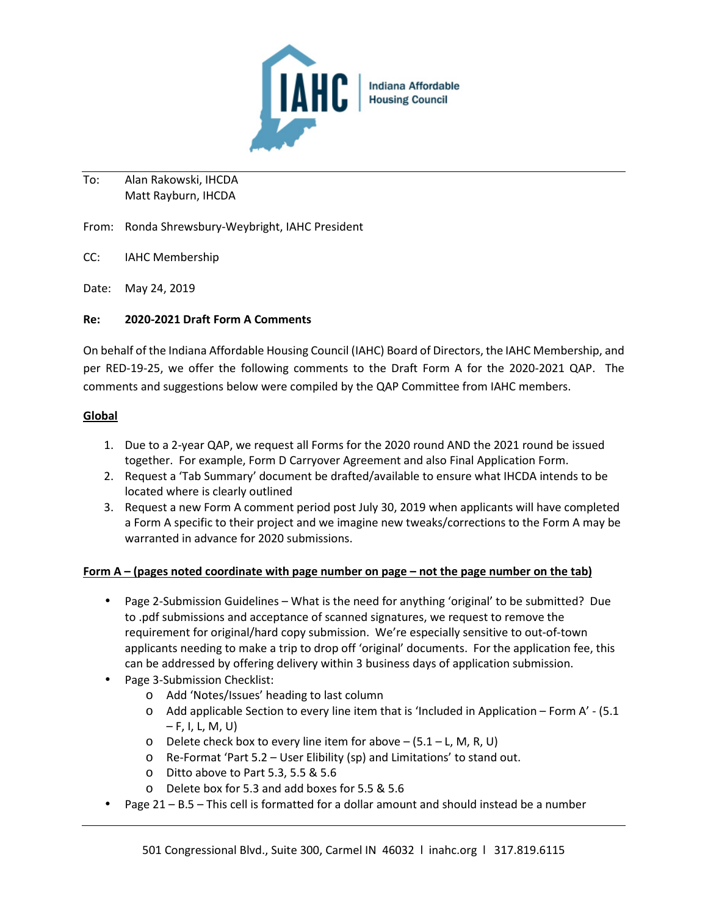

To: Alan Rakowski, IHCDA Matt Rayburn, IHCDA

From: Ronda Shrewsbury-Weybright, IAHC President

- CC: IAHC Membership
- Date: May 24, 2019

## **Re: 2020-2021 Draft Form A Comments**

On behalf of the Indiana Affordable Housing Council (IAHC) Board of Directors, the IAHC Membership, and per RED-19-25, we offer the following comments to the Draft Form A for the 2020-2021 QAP. The comments and suggestions below were compiled by the QAP Committee from IAHC members.

## **Global**

- 1. Due to a 2-year QAP, we request all Forms for the 2020 round AND the 2021 round be issued together. For example, Form D Carryover Agreement and also Final Application Form.
- 2. Request a 'Tab Summary' document be drafted/available to ensure what IHCDA intends to be located where is clearly outlined
- 3. Request a new Form A comment period post July 30, 2019 when applicants will have completed a Form A specific to their project and we imagine new tweaks/corrections to the Form A may be warranted in advance for 2020 submissions.

## **Form A – (pages noted coordinate with page number on page – not the page number on the tab)**

- Page 2-Submission Guidelines What is the need for anything 'original' to be submitted? Due to .pdf submissions and acceptance of scanned signatures, we request to remove the requirement for original/hard copy submission. We're especially sensitive to out-of-town applicants needing to make a trip to drop off 'original' documents. For the application fee, this can be addressed by offering delivery within 3 business days of application submission.
- Page 3-Submission Checklist:
	- o Add 'Notes/Issues' heading to last column
	- o Add applicable Section to every line item that is 'Included in Application Form A' (5.1  $- F, I, L, M, U$
	- $\circ$  Delete check box to every line item for above  $-$  (5.1 L, M, R, U)
	- o Re-Format 'Part 5.2 User Elibility (sp) and Limitations' to stand out.
	- o Ditto above to Part 5.3, 5.5 & 5.6
	- o Delete box for 5.3 and add boxes for 5.5 & 5.6
- Page 21 B.5 This cell is formatted for a dollar amount and should instead be a number